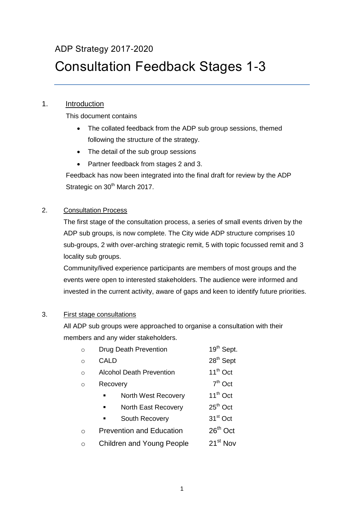# ADP Strategy 2017-2020

# Consultation Feedback Stages 1-3

# 1. Introduction

This document contains

- The collated feedback from the ADP sub group sessions, themed following the structure of the strategy.
- The detail of the sub group sessions
- Partner feedback from stages 2 and 3.

Feedback has now been integrated into the final draft for review by the ADP Strategic on 30<sup>th</sup> March 2017.

# 2. Consultation Process

The first stage of the consultation process, a series of small events driven by the ADP sub groups, is now complete. The City wide ADP structure comprises 10 sub-groups, 2 with over-arching strategic remit, 5 with topic focussed remit and 3 locality sub groups.

Community/lived experience participants are members of most groups and the events were open to interested stakeholders. The audience were informed and invested in the current activity, aware of gaps and keen to identify future priorities.

### 3. First stage consultations

All ADP sub groups were approached to organise a consultation with their members and any wider stakeholders.

| $\Omega$ | Drug Death Prevention                        | 19 <sup>th</sup> Sept. |
|----------|----------------------------------------------|------------------------|
| $\Omega$ | CALD                                         | 28 <sup>th</sup> Sept  |
| $\Omega$ | <b>Alcohol Death Prevention</b>              | $11^{th}$ Oct          |
| $\Omega$ | Recovery                                     | $7th$ Oct              |
|          | North West Recovery                          | $11^{th}$ Oct          |
|          | <b>North East Recovery</b><br>$\blacksquare$ | $25th$ Oct             |
|          | South Recovery<br>$\blacksquare$             | $31st$ Oct             |
| ∩        | <b>Prevention and Education</b>              | $26th$ Oct             |
| ∩        | <b>Children and Young People</b>             | $21^{st}$ Nov          |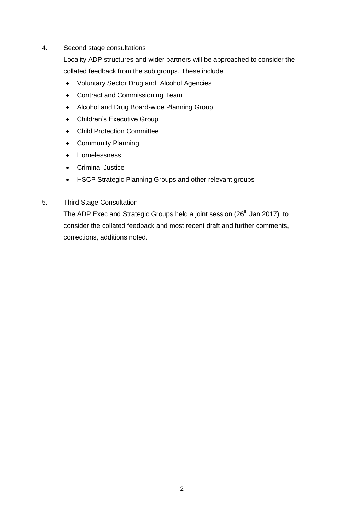#### 4. Second stage consultations

Locality ADP structures and wider partners will be approached to consider the collated feedback from the sub groups. These include

- Voluntary Sector Drug and Alcohol Agencies
- Contract and Commissioning Team
- Alcohol and Drug Board-wide Planning Group
- Children's Executive Group
- Child Protection Committee
- Community Planning
- Homelessness
- Criminal Justice
- HSCP Strategic Planning Groups and other relevant groups

#### 5. Third Stage Consultation

The ADP Exec and Strategic Groups held a joint session (26<sup>th</sup> Jan 2017) to consider the collated feedback and most recent draft and further comments, corrections, additions noted.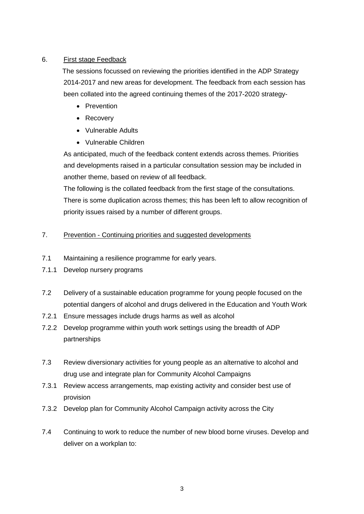### 6. First stage Feedback

 The sessions focussed on reviewing the priorities identified in the ADP Strategy 2014-2017 and new areas for development. The feedback from each session has been collated into the agreed continuing themes of the 2017-2020 strategy-

- Prevention
- Recovery
- Vulnerable Adults
- Vulnerable Children

As anticipated, much of the feedback content extends across themes. Priorities and developments raised in a particular consultation session may be included in another theme, based on review of all feedback.

The following is the collated feedback from the first stage of the consultations. There is some duplication across themes; this has been left to allow recognition of priority issues raised by a number of different groups.

### 7. Prevention - Continuing priorities and suggested developments

- 7.1 Maintaining a resilience programme for early years.
- 7.1.1 Develop nursery programs
- 7.2 Delivery of a sustainable education programme for young people focused on the potential dangers of alcohol and drugs delivered in the Education and Youth Work
- 7.2.1 Ensure messages include drugs harms as well as alcohol
- 7.2.2 Develop programme within youth work settings using the breadth of ADP partnerships
- 7.3 Review diversionary activities for young people as an alternative to alcohol and drug use and integrate plan for Community Alcohol Campaigns
- 7.3.1 Review access arrangements, map existing activity and consider best use of provision
- 7.3.2 Develop plan for Community Alcohol Campaign activity across the City
- 7.4 Continuing to work to reduce the number of new blood borne viruses. Develop and deliver on a workplan to: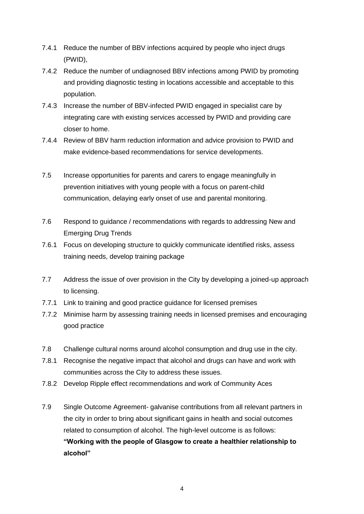- 7.4.1 Reduce the number of BBV infections acquired by people who inject drugs (PWID),
- 7.4.2 Reduce the number of undiagnosed BBV infections among PWID by promoting and providing diagnostic testing in locations accessible and acceptable to this population.
- 7.4.3 Increase the number of BBV-infected PWID engaged in specialist care by integrating care with existing services accessed by PWID and providing care closer to home.
- 7.4.4 Review of BBV harm reduction information and advice provision to PWID and make evidence-based recommendations for service developments.
- 7.5 Increase opportunities for parents and carers to engage meaningfully in prevention initiatives with young people with a focus on parent-child communication, delaying early onset of use and parental monitoring.
- 7.6 Respond to guidance / recommendations with regards to addressing New and Emerging Drug Trends
- 7.6.1 Focus on developing structure to quickly communicate identified risks, assess training needs, develop training package
- 7.7 Address the issue of over provision in the City by developing a joined-up approach to licensing.
- 7.7.1 Link to training and good practice guidance for licensed premises
- 7.7.2 Minimise harm by assessing training needs in licensed premises and encouraging good practice
- 7.8 Challenge cultural norms around alcohol consumption and drug use in the city.
- 7.8.1 Recognise the negative impact that alcohol and drugs can have and work with communities across the City to address these issues.
- 7.8.2 Develop Ripple effect recommendations and work of Community Aces
- 7.9 Single Outcome Agreement- galvanise contributions from all relevant partners in the city in order to bring about significant gains in health and social outcomes related to consumption of alcohol. The high-level outcome is as follows: **"Working with the people of Glasgow to create a healthier relationship to alcohol"**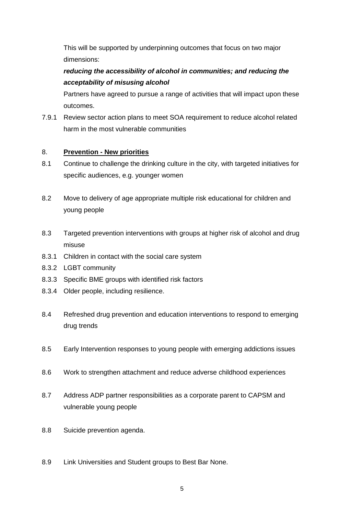This will be supported by underpinning outcomes that focus on two major dimensions:

# *reducing the accessibility of alcohol in communities; and reducing the acceptability of misusing alcohol*

Partners have agreed to pursue a range of activities that will impact upon these outcomes.

7.9.1 Review sector action plans to meet SOA requirement to reduce alcohol related harm in the most vulnerable communities

### 8. **Prevention - New priorities**

- 8.1 Continue to challenge the drinking culture in the city, with targeted initiatives for specific audiences, e.g. younger women
- 8.2 Move to delivery of age appropriate multiple risk educational for children and young people
- 8.3 Targeted prevention interventions with groups at higher risk of alcohol and drug misuse
- 8.3.1 Children in contact with the social care system
- 8.3.2 LGBT community
- 8.3.3 Specific BME groups with identified risk factors
- 8.3.4 Older people, including resilience.
- 8.4 Refreshed drug prevention and education interventions to respond to emerging drug trends
- 8.5 Early Intervention responses to young people with emerging addictions issues
- 8.6 Work to strengthen attachment and reduce adverse childhood experiences
- 8.7 Address ADP partner responsibilities as a corporate parent to CAPSM and vulnerable young people
- 8.8 Suicide prevention agenda.
- 8.9 Link Universities and Student groups to Best Bar None.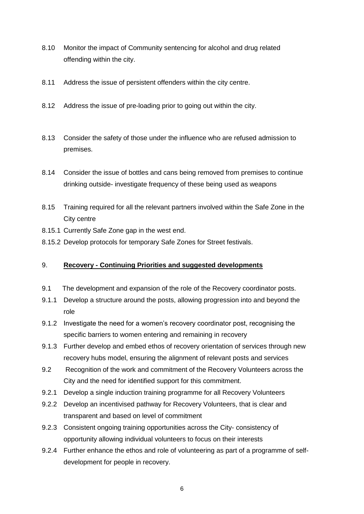- 8.10 Monitor the impact of Community sentencing for alcohol and drug related offending within the city.
- 8.11 Address the issue of persistent offenders within the city centre.
- 8.12 Address the issue of pre-loading prior to going out within the city.
- 8.13 Consider the safety of those under the influence who are refused admission to premises.
- 8.14 Consider the issue of bottles and cans being removed from premises to continue drinking outside- investigate frequency of these being used as weapons
- 8.15 Training required for all the relevant partners involved within the Safe Zone in the City centre
- 8.15.1 Currently Safe Zone gap in the west end.
- 8.15.2 Develop protocols for temporary Safe Zones for Street festivals.

#### 9. **Recovery - Continuing Priorities and suggested developments**

- 9.1 The development and expansion of the role of the Recovery coordinator posts.
- 9.1.1 Develop a structure around the posts, allowing progression into and beyond the role
- 9.1.2 Investigate the need for a women's recovery coordinator post, recognising the specific barriers to women entering and remaining in recovery
- 9.1.3 Further develop and embed ethos of recovery orientation of services through new recovery hubs model, ensuring the alignment of relevant posts and services
- 9.2 Recognition of the work and commitment of the Recovery Volunteers across the City and the need for identified support for this commitment.
- 9.2.1 Develop a single induction training programme for all Recovery Volunteers
- 9.2.2 Develop an incentivised pathway for Recovery Volunteers, that is clear and transparent and based on level of commitment
- 9.2.3 Consistent ongoing training opportunities across the City- consistency of opportunity allowing individual volunteers to focus on their interests
- 9.2.4 Further enhance the ethos and role of volunteering as part of a programme of selfdevelopment for people in recovery.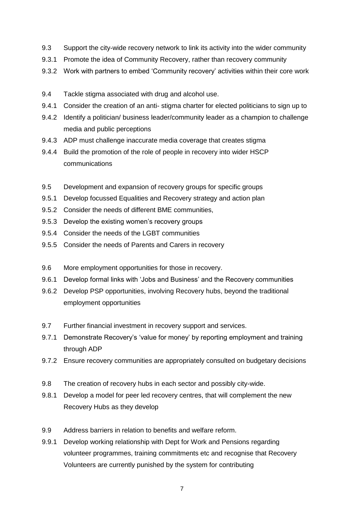- 9.3 Support the city-wide recovery network to link its activity into the wider community
- 9.3.1 Promote the idea of Community Recovery, rather than recovery community
- 9.3.2 Work with partners to embed 'Community recovery' activities within their core work
- 9.4 Tackle stigma associated with drug and alcohol use.
- 9.4.1 Consider the creation of an anti- stigma charter for elected politicians to sign up to
- 9.4.2 Identify a politician/ business leader/community leader as a champion to challenge media and public perceptions
- 9.4.3 ADP must challenge inaccurate media coverage that creates stigma
- 9.4.4 Build the promotion of the role of people in recovery into wider HSCP communications
- 9.5 Development and expansion of recovery groups for specific groups
- 9.5.1 Develop focussed Equalities and Recovery strategy and action plan
- 9.5.2 Consider the needs of different BME communities,
- 9.5.3 Develop the existing women's recovery groups
- 9.5.4 Consider the needs of the LGBT communities
- 9.5.5 Consider the needs of Parents and Carers in recovery
- 9.6 More employment opportunities for those in recovery.
- 9.6.1 Develop formal links with 'Jobs and Business' and the Recovery communities
- 9.6.2 Develop PSP opportunities, involving Recovery hubs, beyond the traditional employment opportunities
- 9.7 Further financial investment in recovery support and services.
- 9.7.1 Demonstrate Recovery's 'value for money' by reporting employment and training through ADP
- 9.7.2 Ensure recovery communities are appropriately consulted on budgetary decisions
- 9.8 The creation of recovery hubs in each sector and possibly city-wide.
- 9.8.1 Develop a model for peer led recovery centres, that will complement the new Recovery Hubs as they develop
- 9.9 Address barriers in relation to benefits and welfare reform.
- 9.9.1 Develop working relationship with Dept for Work and Pensions regarding volunteer programmes, training commitments etc and recognise that Recovery Volunteers are currently punished by the system for contributing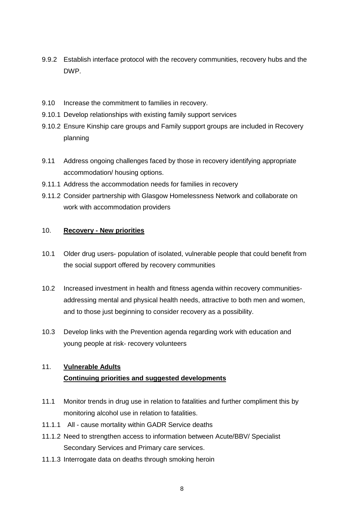- 9.9.2 Establish interface protocol with the recovery communities, recovery hubs and the DWP.
- 9.10 Increase the commitment to families in recovery.
- 9.10.1 Develop relationships with existing family support services
- 9.10.2 Ensure Kinship care groups and Family support groups are included in Recovery planning
- 9.11 Address ongoing challenges faced by those in recovery identifying appropriate accommodation/ housing options.
- 9.11.1 Address the accommodation needs for families in recovery
- 9.11.2 Consider partnership with Glasgow Homelessness Network and collaborate on work with accommodation providers

#### 10. **Recovery - New priorities**

- 10.1 Older drug users- population of isolated, vulnerable people that could benefit from the social support offered by recovery communities
- 10.2 Increased investment in health and fitness agenda within recovery communitiesaddressing mental and physical health needs, attractive to both men and women, and to those just beginning to consider recovery as a possibility.
- 10.3 Develop links with the Prevention agenda regarding work with education and young people at risk- recovery volunteers

# 11. **Vulnerable Adults Continuing priorities and suggested developments**

- 11.1 Monitor trends in drug use in relation to fatalities and further compliment this by monitoring alcohol use in relation to fatalities.
- 11.1.1 All cause mortality within GADR Service deaths
- 11.1.2 Need to strengthen access to information between Acute/BBV/ Specialist Secondary Services and Primary care services.
- 11.1.3 Interrogate data on deaths through smoking heroin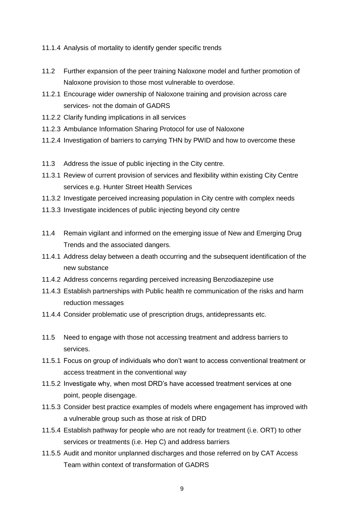- 11.1.4 Analysis of mortality to identify gender specific trends
- 11.2 Further expansion of the peer training Naloxone model and further promotion of Naloxone provision to those most vulnerable to overdose.
- 11.2.1 Encourage wider ownership of Naloxone training and provision across care services- not the domain of GADRS
- 11.2.2 Clarify funding implications in all services
- 11.2.3 Ambulance Information Sharing Protocol for use of Naloxone
- 11.2.4 Investigation of barriers to carrying THN by PWID and how to overcome these
- 11.3 Address the issue of public injecting in the City centre.
- 11.3.1 Review of current provision of services and flexibility within existing City Centre services e.g. Hunter Street Health Services
- 11.3.2 Investigate perceived increasing population in City centre with complex needs
- 11.3.3 Investigate incidences of public injecting beyond city centre
- 11.4 Remain vigilant and informed on the emerging issue of New and Emerging Drug Trends and the associated dangers.
- 11.4.1 Address delay between a death occurring and the subsequent identification of the new substance
- 11.4.2 Address concerns regarding perceived increasing Benzodiazepine use
- 11.4.3 Establish partnerships with Public health re communication of the risks and harm reduction messages
- 11.4.4 Consider problematic use of prescription drugs, antidepressants etc.
- 11.5 Need to engage with those not accessing treatment and address barriers to services.
- 11.5.1 Focus on group of individuals who don't want to access conventional treatment or access treatment in the conventional way
- 11.5.2 Investigate why, when most DRD's have accessed treatment services at one point, people disengage.
- 11.5.3 Consider best practice examples of models where engagement has improved with a vulnerable group such as those at risk of DRD
- 11.5.4 Establish pathway for people who are not ready for treatment (i.e. ORT) to other services or treatments (i.e. Hep C) and address barriers
- 11.5.5 Audit and monitor unplanned discharges and those referred on by CAT Access Team within context of transformation of GADRS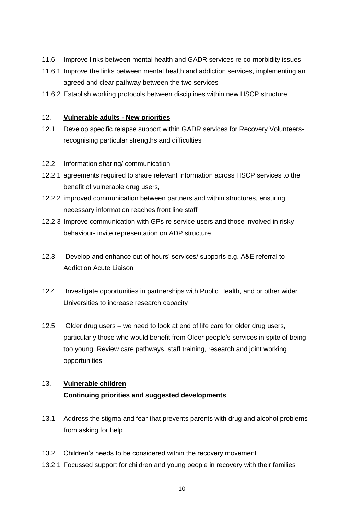- 11.6 Improve links between mental health and GADR services re co-morbidity issues.
- 11.6.1 Improve the links between mental health and addiction services, implementing an agreed and clear pathway between the two services
- 11.6.2 Establish working protocols between disciplines within new HSCP structure

#### 12. **Vulnerable adults - New priorities**

- 12.1 Develop specific relapse support within GADR services for Recovery Volunteersrecognising particular strengths and difficulties
- 12.2 Information sharing/ communication-
- 12.2.1 agreements required to share relevant information across HSCP services to the benefit of vulnerable drug users,
- 12.2.2 improved communication between partners and within structures, ensuring necessary information reaches front line staff
- 12.2.3 Improve communication with GPs re service users and those involved in risky behaviour- invite representation on ADP structure
- 12.3 Develop and enhance out of hours' services/ supports e.g. A&E referral to Addiction Acute Liaison
- 12.4 Investigate opportunities in partnerships with Public Health, and or other wider Universities to increase research capacity
- 12.5 Older drug users we need to look at end of life care for older drug users, particularly those who would benefit from Older people's services in spite of being too young. Review care pathways, staff training, research and joint working opportunities

# 13. **Vulnerable children Continuing priorities and suggested developments**

- 13.1 Address the stigma and fear that prevents parents with drug and alcohol problems from asking for help
- 13.2 Children's needs to be considered within the recovery movement
- 13.2.1 Focussed support for children and young people in recovery with their families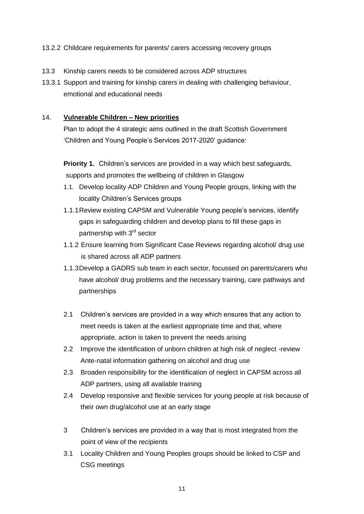#### 13.2.2 Childcare requirements for parents/ carers accessing recovery groups

- 13.3 Kinship carers needs to be considered across ADP structures
- 13.3.1 Support and training for kinship carers in dealing with challenging behaviour, emotional and educational needs

#### 14. **Vulnerable Children – New priorities**

Plan to adopt the 4 strategic aims outlined in the draft Scottish Government 'Children and Young People's Services 2017-2020' guidance:

**Priority 1.** Children's services are provided in a way which best safeguards, supports and promotes the wellbeing of children in Glasgow

- 1.1. Develop locality ADP Children and Young People groups, linking with the locality Children's Services groups
- 1.1.1Review existing CAPSM and Vulnerable Young people's services, identify gaps in safeguarding children and develop plans to fill these gaps in partnership with 3<sup>rd</sup> sector
- 1.1.2 Ensure learning from Significant Case Reviews regarding alcohol/ drug use is shared across all ADP partners
- 1.1.3Develop a GADRS sub team in each sector, focussed on parents/carers who have alcohol/ drug problems and the necessary training, care pathways and partnerships
- 2.1 Children's services are provided in a way which ensures that any action to meet needs is taken at the earliest appropriate time and that, where appropriate, action is taken to prevent the needs arising
- 2.2 Improve the identification of unborn children at high risk of neglect -review Ante-natal information gathering on alcohol and drug use
- 2.3 Broaden responsibility for the identification of neglect in CAPSM across all ADP partners, using all available training
- 2.4 Develop responsive and flexible services for young people at risk because of their own drug/alcohol use at an early stage
- 3 Children's services are provided in a way that is most integrated from the point of view of the recipients
- 3.1 Locality Children and Young Peoples groups should be linked to CSP and CSG meetings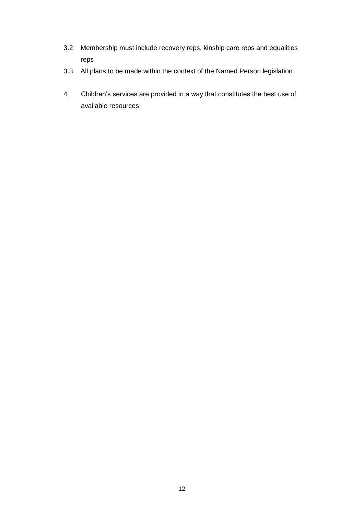- 3.2 Membership must include recovery reps, kinship care reps and equalities reps
- 3.3 All plans to be made within the context of the Named Person legislation
- 4 Children's services are provided in a way that constitutes the best use of available resources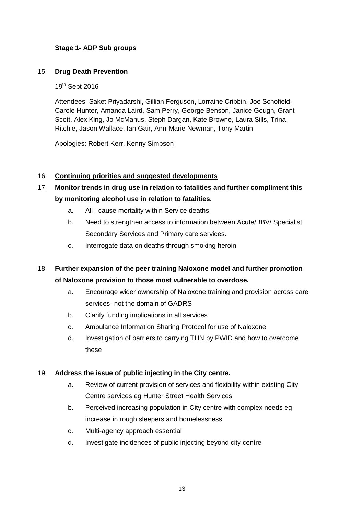# **Stage 1- ADP Sub groups**

#### 15. **Drug Death Prevention**

19<sup>th</sup> Sept 2016

Attendees: Saket Priyadarshi, Gillian Ferguson, Lorraine Cribbin, Joe Schofield, Carole Hunter, Amanda Laird, Sam Perry, George Benson, Janice Gough, Grant Scott, Alex King, Jo McManus, Steph Dargan, Kate Browne, Laura Sills, Trina Ritchie, Jason Wallace, Ian Gair, Ann-Marie Newman, Tony Martin

Apologies: Robert Kerr, Kenny Simpson

#### 16. **Continuing priorities and suggested developments**

- 17. **Monitor trends in drug use in relation to fatalities and further compliment this by monitoring alcohol use in relation to fatalities.**
	- a. All –cause mortality within Service deaths
	- b. Need to strengthen access to information between Acute/BBV/ Specialist Secondary Services and Primary care services.
	- c. Interrogate data on deaths through smoking heroin
- 18. **Further expansion of the peer training Naloxone model and further promotion of Naloxone provision to those most vulnerable to overdose.**
	- a. Encourage wider ownership of Naloxone training and provision across care services- not the domain of GADRS
	- b. Clarify funding implications in all services
	- c. Ambulance Information Sharing Protocol for use of Naloxone
	- d. Investigation of barriers to carrying THN by PWID and how to overcome these

#### 19. **Address the issue of public injecting in the City centre.**

- a. Review of current provision of services and flexibility within existing City Centre services eg Hunter Street Health Services
- b. Perceived increasing population in City centre with complex needs eg increase in rough sleepers and homelessness
- c. Multi-agency approach essential
- d. Investigate incidences of public injecting beyond city centre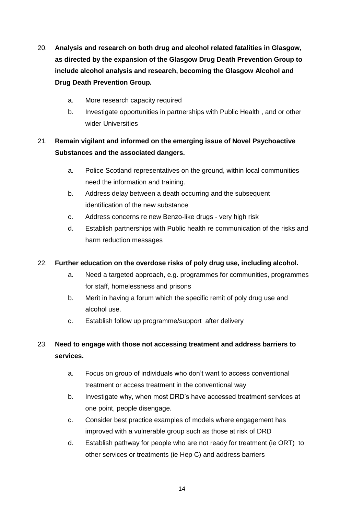- 20. **Analysis and research on both drug and alcohol related fatalities in Glasgow, as directed by the expansion of the Glasgow Drug Death Prevention Group to include alcohol analysis and research, becoming the Glasgow Alcohol and Drug Death Prevention Group.**
	- a. More research capacity required
	- b. Investigate opportunities in partnerships with Public Health , and or other wider Universities

# 21. **Remain vigilant and informed on the emerging issue of Novel Psychoactive Substances and the associated dangers.**

- a. Police Scotland representatives on the ground, within local communities need the information and training.
- b. Address delay between a death occurring and the subsequent identification of the new substance
- c. Address concerns re new Benzo-like drugs very high risk
- d. Establish partnerships with Public health re communication of the risks and harm reduction messages

# 22. **Further education on the overdose risks of poly drug use, including alcohol.**

- a. Need a targeted approach, e.g. programmes for communities, programmes for staff, homelessness and prisons
- b. Merit in having a forum which the specific remit of poly drug use and alcohol use.
- c. Establish follow up programme/support after delivery

# 23. **Need to engage with those not accessing treatment and address barriers to services.**

- a. Focus on group of individuals who don't want to access conventional treatment or access treatment in the conventional way
- b. Investigate why, when most DRD's have accessed treatment services at one point, people disengage.
- c. Consider best practice examples of models where engagement has improved with a vulnerable group such as those at risk of DRD
- d. Establish pathway for people who are not ready for treatment (ie ORT) to other services or treatments (ie Hep C) and address barriers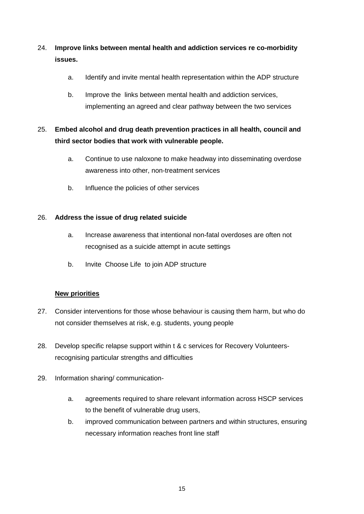# 24. **Improve links between mental health and addiction services re co-morbidity issues.**

- a. Identify and invite mental health representation within the ADP structure
- b. Improve the links between mental health and addiction services, implementing an agreed and clear pathway between the two services

# 25. **Embed alcohol and drug death prevention practices in all health, council and third sector bodies that work with vulnerable people.**

- a. Continue to use naloxone to make headway into disseminating overdose awareness into other, non-treatment services
- b. Influence the policies of other services

# 26. **Address the issue of drug related suicide**

- a. Increase awareness that intentional non-fatal overdoses are often not recognised as a suicide attempt in acute settings
- b. Invite Choose Life to join ADP structure

# **New priorities**

- 27. Consider interventions for those whose behaviour is causing them harm, but who do not consider themselves at risk, e.g. students, young people
- 28. Develop specific relapse support within t & c services for Recovery Volunteersrecognising particular strengths and difficulties
- 29. Information sharing/ communication
	- a. agreements required to share relevant information across HSCP services to the benefit of vulnerable drug users,
	- b. improved communication between partners and within structures, ensuring necessary information reaches front line staff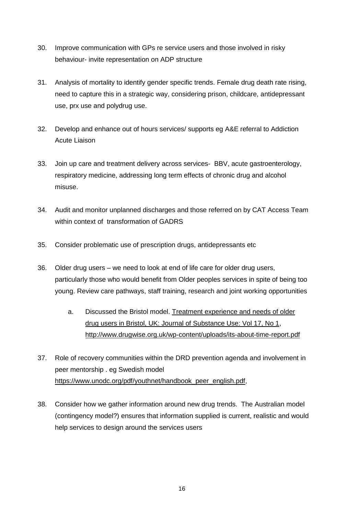- 30. Improve communication with GPs re service users and those involved in risky behaviour- invite representation on ADP structure
- 31. Analysis of mortality to identify gender specific trends. Female drug death rate rising, need to capture this in a strategic way, considering prison, childcare, antidepressant use, prx use and polydrug use.
- 32. Develop and enhance out of hours services/ supports eg A&E referral to Addiction Acute Liaison
- 33. Join up care and treatment delivery across services- BBV, acute gastroenterology, respiratory medicine, addressing long term effects of chronic drug and alcohol misuse.
- 34. Audit and monitor unplanned discharges and those referred on by CAT Access Team within context of transformation of GADRS
- 35. Consider problematic use of prescription drugs, antidepressants etc
- 36. Older drug users we need to look at end of life care for older drug users, particularly those who would benefit from Older peoples services in spite of being too young. Review care pathways, staff training, research and joint working opportunities
	- a. Discussed the Bristol model. [Treatment experience and needs of older](http://www.tandfonline.com/doi/full/10.3109/14659891.2010.513756)  [drug users in Bristol, UK: Journal of Substance Use: Vol 17, No 1,](http://www.tandfonline.com/doi/full/10.3109/14659891.2010.513756) <http://www.drugwise.org.uk/wp-content/uploads/its-about-time-report.pdf>
- 37. Role of recovery communities within the DRD prevention agenda and involvement in peer mentorship . eg Swedish model [https://www.unodc.org/pdf/youthnet/handbook\\_peer\\_english.pdf,](https://www.unodc.org/pdf/youthnet/handbook_peer_english.pdf)
- 38. Consider how we gather information around new drug trends. The Australian model (contingency model?) ensures that information supplied is current, realistic and would help services to design around the services users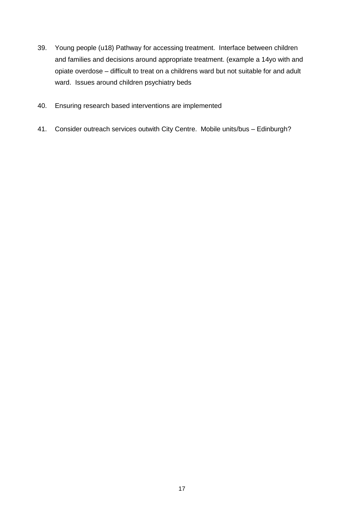- 39. Young people (u18) Pathway for accessing treatment. Interface between children and families and decisions around appropriate treatment. (example a 14yo with and opiate overdose – difficult to treat on a childrens ward but not suitable for and adult ward. Issues around children psychiatry beds
- 40. Ensuring research based interventions are implemented
- 41. Consider outreach services outwith City Centre. Mobile units/bus Edinburgh?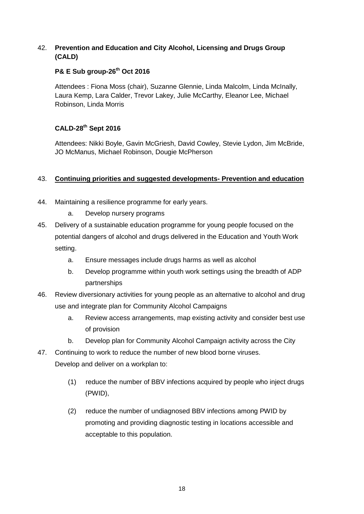#### 42. **Prevention and Education and City Alcohol, Licensing and Drugs Group (CALD)**

# **P& E Sub group-26th Oct 2016**

Attendees : Fiona Moss (chair), Suzanne Glennie, Linda Malcolm, Linda McInally, Laura Kemp, Lara Calder, Trevor Lakey, Julie McCarthy, Eleanor Lee, Michael Robinson, Linda Morris

# **CALD-28th Sept 2016**

Attendees: Nikki Boyle, Gavin McGriesh, David Cowley, Stevie Lydon, Jim McBride, JO McManus, Michael Robinson, Dougie McPherson

### 43. **Continuing priorities and suggested developments- Prevention and education**

- 44. Maintaining a resilience programme for early years.
	- a. Develop nursery programs
- 45. Delivery of a sustainable education programme for young people focused on the potential dangers of alcohol and drugs delivered in the Education and Youth Work setting.
	- a. Ensure messages include drugs harms as well as alcohol
	- b. Develop programme within youth work settings using the breadth of ADP partnerships
- 46. Review diversionary activities for young people as an alternative to alcohol and drug use and integrate plan for Community Alcohol Campaigns
	- a. Review access arrangements, map existing activity and consider best use of provision
	- b. Develop plan for Community Alcohol Campaign activity across the City
- 47. Continuing to work to reduce the number of new blood borne viruses. Develop and deliver on a workplan to:
	- (1) reduce the number of BBV infections acquired by people who inject drugs (PWID),
	- (2) reduce the number of undiagnosed BBV infections among PWID by promoting and providing diagnostic testing in locations accessible and acceptable to this population.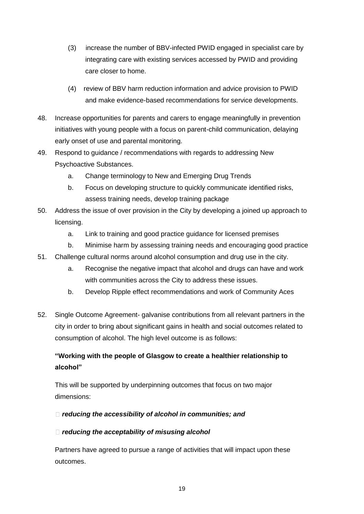- (3) increase the number of BBV-infected PWID engaged in specialist care by integrating care with existing services accessed by PWID and providing care closer to home.
- (4) review of BBV harm reduction information and advice provision to PWID and make evidence-based recommendations for service developments.
- 48. Increase opportunities for parents and carers to engage meaningfully in prevention initiatives with young people with a focus on parent-child communication, delaying early onset of use and parental monitoring.
- 49. Respond to guidance / recommendations with regards to addressing New Psychoactive Substances.
	- a. Change terminology to New and Emerging Drug Trends
	- b. Focus on developing structure to quickly communicate identified risks, assess training needs, develop training package
- 50. Address the issue of over provision in the City by developing a joined up approach to licensing.
	- a. Link to training and good practice guidance for licensed premises
	- b. Minimise harm by assessing training needs and encouraging good practice
- 51. Challenge cultural norms around alcohol consumption and drug use in the city.
	- a. Recognise the negative impact that alcohol and drugs can have and work with communities across the City to address these issues.
	- b. Develop Ripple effect recommendations and work of Community Aces
- 52. Single Outcome Agreement- galvanise contributions from all relevant partners in the city in order to bring about significant gains in health and social outcomes related to consumption of alcohol. The high level outcome is as follows:

# **"Working with the people of Glasgow to create a healthier relationship to alcohol"**

This will be supported by underpinning outcomes that focus on two major dimensions:

# *reducing the accessibility of alcohol in communities; and*

# *reducing the acceptability of misusing alcohol*

Partners have agreed to pursue a range of activities that will impact upon these outcomes.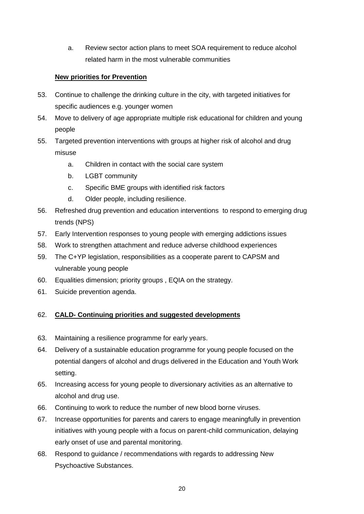a. Review sector action plans to meet SOA requirement to reduce alcohol related harm in the most vulnerable communities

# **New priorities for Prevention**

- 53. Continue to challenge the drinking culture in the city, with targeted initiatives for specific audiences e.g. younger women
- 54. Move to delivery of age appropriate multiple risk educational for children and young people
- 55. Targeted prevention interventions with groups at higher risk of alcohol and drug misuse
	- a. Children in contact with the social care system
	- b. LGBT community
	- c. Specific BME groups with identified risk factors
	- d. Older people, including resilience.
- 56. Refreshed drug prevention and education interventions to respond to emerging drug trends (NPS)
- 57. Early Intervention responses to young people with emerging addictions issues
- 58. Work to strengthen attachment and reduce adverse childhood experiences
- 59. The C+YP legislation, responsibilities as a cooperate parent to CAPSM and vulnerable young people
- 60. Equalities dimension; priority groups , EQIA on the strategy.
- 61. Suicide prevention agenda.

# 62. **CALD- Continuing priorities and suggested developments**

- 63. Maintaining a resilience programme for early years.
- 64. Delivery of a sustainable education programme for young people focused on the potential dangers of alcohol and drugs delivered in the Education and Youth Work setting.
- 65. Increasing access for young people to diversionary activities as an alternative to alcohol and drug use.
- 66. Continuing to work to reduce the number of new blood borne viruses.
- 67. Increase opportunities for parents and carers to engage meaningfully in prevention initiatives with young people with a focus on parent-child communication, delaying early onset of use and parental monitoring.
- 68. Respond to guidance / recommendations with regards to addressing New Psychoactive Substances.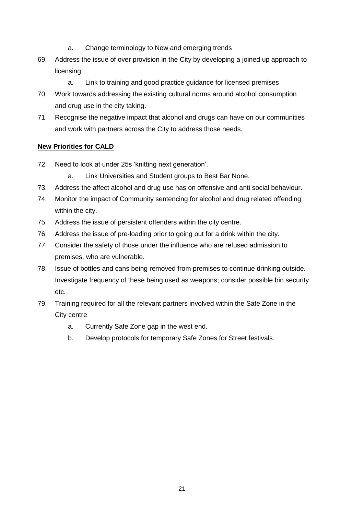- a. Change terminology to New and emerging trends
- 69. Address the issue of over provision in the City by developing a joined up approach to licensing.
	- a. Link to training and good practice guidance for licensed premises
- 70. Work towards addressing the existing cultural norms around alcohol consumption and drug use in the city taking.
- 71. Recognise the negative impact that alcohol and drugs can have on our communities and work with partners across the City to address those needs.

### **New Priorities for CALD**

- 72. Need to look at under 25s 'knitting next generation'.
	- a. Link Universities and Student groups to Best Bar None.
- 73. Address the affect alcohol and drug use has on offensive and anti social behaviour.
- 74. Monitor the impact of Community sentencing for alcohol and drug related offending within the city.
- 75. Address the issue of persistent offenders within the city centre.
- 76. Address the issue of pre-loading prior to going out for a drink within the city.
- 77. Consider the safety of those under the influence who are refused admission to premises, who are vulnerable.
- 78. Issue of bottles and cans being removed from premises to continue drinking outside. Investigate frequency of these being used as weapons; consider possible bin security etc.
- 79. Training required for all the relevant partners involved within the Safe Zone in the City centre
	- a. Currently Safe Zone gap in the west end.
	- b. Develop protocols for temporary Safe Zones for Street festivals.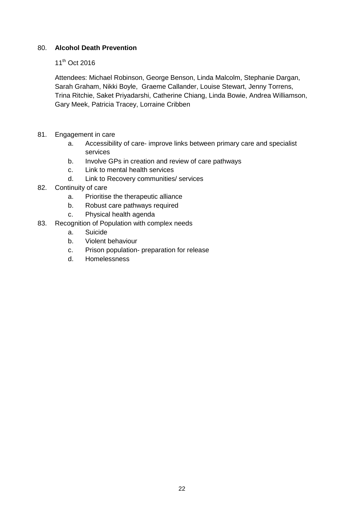#### 80. **Alcohol Death Prevention**

#### 11<sup>th</sup> Oct 2016

Attendees: Michael Robinson, George Benson, Linda Malcolm, Stephanie Dargan, Sarah Graham, Nikki Boyle, Graeme Callander, Louise Stewart, Jenny Torrens, Trina Ritchie, Saket Priyadarshi, Catherine Chiang, Linda Bowie, Andrea Williamson, Gary Meek, Patricia Tracey, Lorraine Cribben

- 81. Engagement in care
	- a. Accessibility of care- improve links between primary care and specialist services
	- b. Involve GPs in creation and review of care pathways
	- c. Link to mental health services
	- d. Link to Recovery communities/ services
- 82. Continuity of care
	- a. Prioritise the therapeutic alliance
	- b. Robust care pathways required
	- c. Physical health agenda
- 83. Recognition of Population with complex needs
	- a. Suicide
	- b. Violent behaviour
	- c. Prison population- preparation for release
	- d. Homelessness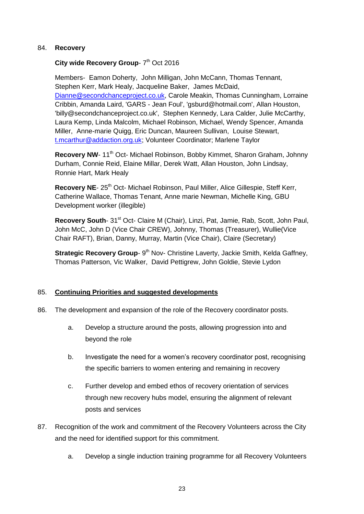#### 84. **Recovery**

#### City wide Recovery Group- 7<sup>th</sup> Oct 2016

Members- Eamon Doherty, John Milligan, John McCann, Thomas Tennant, Stephen Kerr, Mark Healy, Jacqueline Baker, James McDaid, [Dianne@secondchanceproject.co.uk,](mailto:Dianne@secondchanceproject.co.uk) Carole Meakin, Thomas Cunningham, Lorraine Cribbin, Amanda Laird, 'GARS - Jean Foul', 'gsburd@hotmail.com', Allan Houston, 'billy@secondchanceproject.co.uk', Stephen Kennedy, Lara Calder, Julie McCarthy, Laura Kemp, Linda Malcolm, Michael Robinson, Michael, Wendy Spencer, Amanda Miller, Anne-marie Quigg, Eric Duncan, Maureen Sullivan, Louise Stewart, [t.mcarthur@addaction.org.uk;](mailto:t.mcarthur@addaction.org.uk) Volunteer Coordinator; Marlene Taylor

Recovery NW- 11<sup>th</sup> Oct- Michael Robinson, Bobby Kimmet, Sharon Graham, Johnny Durham, Connie Reid, Elaine Millar, Derek Watt, Allan Houston, John Lindsay, Ronnie Hart, Mark Healy

Recovery NE- 25<sup>th</sup> Oct- Michael Robinson, Paul Miller, Alice Gillespie, Steff Kerr, Catherine Wallace, Thomas Tenant, Anne marie Newman, Michelle King, GBU Development worker (illegible)

**Recovery South-** 31<sup>st</sup> Oct- Claire M (Chair), Linzi, Pat, Jamie, Rab, Scott, John Paul, John McC, John D (Vice Chair CREW), Johnny, Thomas (Treasurer), Wullie(Vice Chair RAFT), Brian, Danny, Murray, Martin (Vice Chair), Claire (Secretary)

Strategic Recovery Group- 9<sup>th</sup> Nov- Christine Laverty, Jackie Smith, Kelda Gaffney, Thomas Patterson, Vic Walker, David Pettigrew, John Goldie, Stevie Lydon

#### 85. **Continuing Priorities and suggested developments**

- 86. The development and expansion of the role of the Recovery coordinator posts.
	- a. Develop a structure around the posts, allowing progression into and beyond the role
	- b. Investigate the need for a women's recovery coordinator post, recognising the specific barriers to women entering and remaining in recovery
	- c. Further develop and embed ethos of recovery orientation of services through new recovery hubs model, ensuring the alignment of relevant posts and services
- 87. Recognition of the work and commitment of the Recovery Volunteers across the City and the need for identified support for this commitment.
	- a. Develop a single induction training programme for all Recovery Volunteers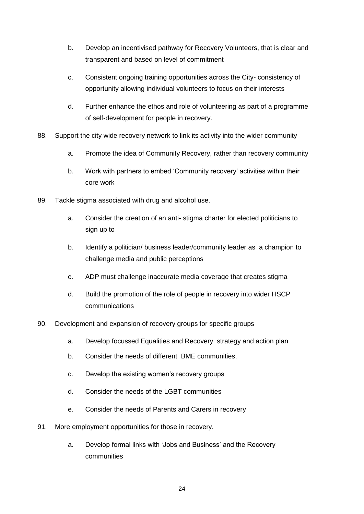- b. Develop an incentivised pathway for Recovery Volunteers, that is clear and transparent and based on level of commitment
- c. Consistent ongoing training opportunities across the City- consistency of opportunity allowing individual volunteers to focus on their interests
- d. Further enhance the ethos and role of volunteering as part of a programme of self-development for people in recovery.
- 88. Support the city wide recovery network to link its activity into the wider community
	- a. Promote the idea of Community Recovery, rather than recovery community
	- b. Work with partners to embed 'Community recovery' activities within their core work
- 89. Tackle stigma associated with drug and alcohol use.
	- a. Consider the creation of an anti- stigma charter for elected politicians to sign up to
	- b. Identify a politician/ business leader/community leader as a champion to challenge media and public perceptions
	- c. ADP must challenge inaccurate media coverage that creates stigma
	- d. Build the promotion of the role of people in recovery into wider HSCP communications
- 90. Development and expansion of recovery groups for specific groups
	- a. Develop focussed Equalities and Recovery strategy and action plan
	- b. Consider the needs of different BME communities,
	- c. Develop the existing women's recovery groups
	- d. Consider the needs of the LGBT communities
	- e. Consider the needs of Parents and Carers in recovery
- 91. More employment opportunities for those in recovery.
	- a. Develop formal links with 'Jobs and Business' and the Recovery communities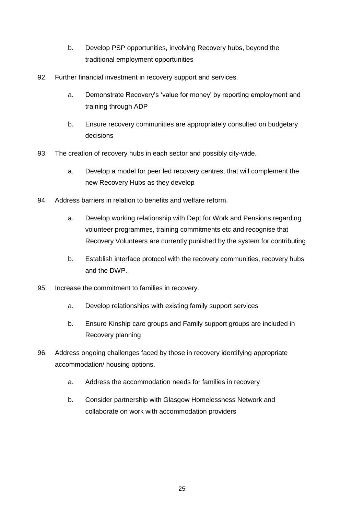- b. Develop PSP opportunities, involving Recovery hubs, beyond the traditional employment opportunities
- 92. Further financial investment in recovery support and services.
	- a. Demonstrate Recovery's 'value for money' by reporting employment and training through ADP
	- b. Ensure recovery communities are appropriately consulted on budgetary decisions
- 93. The creation of recovery hubs in each sector and possibly city-wide.
	- a. Develop a model for peer led recovery centres, that will complement the new Recovery Hubs as they develop
- 94. Address barriers in relation to benefits and welfare reform.
	- a. Develop working relationship with Dept for Work and Pensions regarding volunteer programmes, training commitments etc and recognise that Recovery Volunteers are currently punished by the system for contributing
	- b. Establish interface protocol with the recovery communities, recovery hubs and the DWP.
- 95. Increase the commitment to families in recovery.
	- a. Develop relationships with existing family support services
	- b. Ensure Kinship care groups and Family support groups are included in Recovery planning
- 96. Address ongoing challenges faced by those in recovery identifying appropriate accommodation/ housing options.
	- a. Address the accommodation needs for families in recovery
	- b. Consider partnership with Glasgow Homelessness Network and collaborate on work with accommodation providers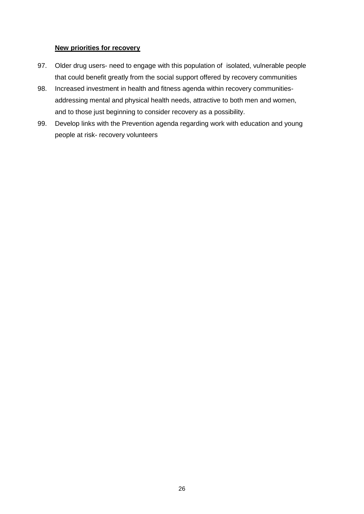#### **New priorities for recovery**

- 97. Older drug users- need to engage with this population of isolated, vulnerable people that could benefit greatly from the social support offered by recovery communities
- 98. Increased investment in health and fitness agenda within recovery communitiesaddressing mental and physical health needs, attractive to both men and women, and to those just beginning to consider recovery as a possibility.
- 99. Develop links with the Prevention agenda regarding work with education and young people at risk- recovery volunteers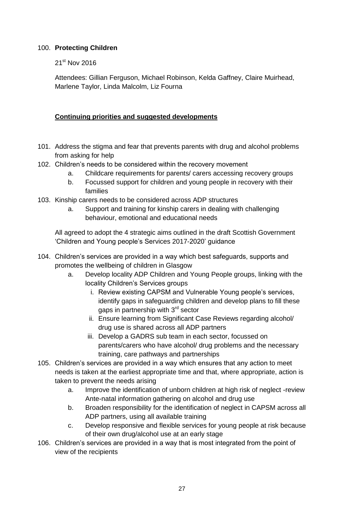#### 100. **Protecting Children**

#### 21<sup>st</sup> Nov 2016

Attendees: Gillian Ferguson, Michael Robinson, Kelda Gaffney, Claire Muirhead, Marlene Taylor, Linda Malcolm, Liz Fourna

### **Continuing priorities and suggested developments**

- 101. Address the stigma and fear that prevents parents with drug and alcohol problems from asking for help
- 102. Children's needs to be considered within the recovery movement
	- a. Childcare requirements for parents/ carers accessing recovery groups
	- b. Focussed support for children and young people in recovery with their families
- 103. Kinship carers needs to be considered across ADP structures
	- a. Support and training for kinship carers in dealing with challenging behaviour, emotional and educational needs

All agreed to adopt the 4 strategic aims outlined in the draft Scottish Government 'Children and Young people's Services 2017-2020' guidance

- 104. Children's services are provided in a way which best safeguards, supports and promotes the wellbeing of children in Glasgow
	- a. Develop locality ADP Children and Young People groups, linking with the locality Children's Services groups
		- i. Review existing CAPSM and Vulnerable Young people's services, identify gaps in safeguarding children and develop plans to fill these gaps in partnership with 3<sup>rd</sup> sector
		- ii. Ensure learning from Significant Case Reviews regarding alcohol/ drug use is shared across all ADP partners
		- iii. Develop a GADRS sub team in each sector, focussed on parents/carers who have alcohol/ drug problems and the necessary training, care pathways and partnerships
- 105. Children's services are provided in a way which ensures that any action to meet needs is taken at the earliest appropriate time and that, where appropriate, action is taken to prevent the needs arising
	- a. Improve the identification of unborn children at high risk of neglect -review Ante-natal information gathering on alcohol and drug use
	- b. Broaden responsibility for the identification of neglect in CAPSM across all ADP partners, using all available training
	- c. Develop responsive and flexible services for young people at risk because of their own drug/alcohol use at an early stage
- 106. Children's services are provided in a way that is most integrated from the point of view of the recipients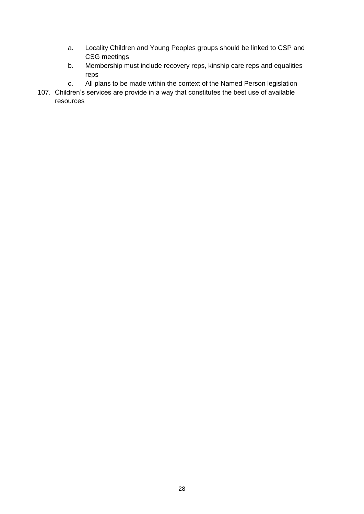- a. Locality Children and Young Peoples groups should be linked to CSP and CSG meetings
- b. Membership must include recovery reps, kinship care reps and equalities reps
- c. All plans to be made within the context of the Named Person legislation
- 107. Children's services are provide in a way that constitutes the best use of available resources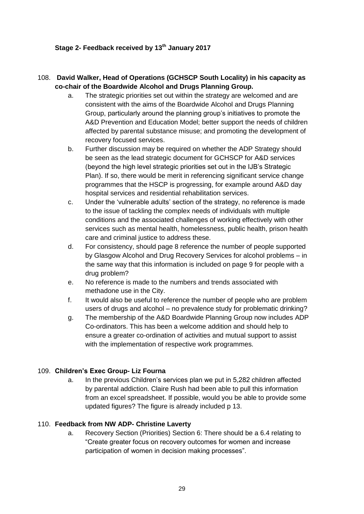#### **Stage 2- Feedback received by 13th January 2017**

# 108. **David Walker, Head of Operations (GCHSCP South Locality) in his capacity as co-chair of the Boardwide Alcohol and Drugs Planning Group.**

- a. The strategic priorities set out within the strategy are welcomed and are consistent with the aims of the Boardwide Alcohol and Drugs Planning Group, particularly around the planning group's initiatives to promote the A&D Prevention and Education Model; better support the needs of children affected by parental substance misuse; and promoting the development of recovery focused services.
- b. Further discussion may be required on whether the ADP Strategy should be seen as the lead strategic document for GCHSCP for A&D services (beyond the high level strategic priorities set out in the IJB's Strategic Plan). If so, there would be merit in referencing significant service change programmes that the HSCP is progressing, for example around A&D day hospital services and residential rehabilitation services.
- c. Under the 'vulnerable adults' section of the strategy, no reference is made to the issue of tackling the complex needs of individuals with multiple conditions and the associated challenges of working effectively with other services such as mental health, homelessness, public health, prison health care and criminal justice to address these.
- d. For consistency, should page 8 reference the number of people supported by Glasgow Alcohol and Drug Recovery Services for alcohol problems – in the same way that this information is included on page 9 for people with a drug problem?
- e. No reference is made to the numbers and trends associated with methadone use in the City.
- f. It would also be useful to reference the number of people who are problem users of drugs and alcohol – no prevalence study for problematic drinking?
- g. The membership of the A&D Boardwide Planning Group now includes ADP Co-ordinators. This has been a welcome addition and should help to ensure a greater co-ordination of activities and mutual support to assist with the implementation of respective work programmes.

### 109. **Children's Exec Group- Liz Fourna**

a. In the previous Children's services plan we put in 5,282 children affected by parental addiction. Claire Rush had been able to pull this information from an excel spreadsheet. If possible, would you be able to provide some updated figures? The figure is already included p 13.

#### 110. **Feedback from NW ADP- Christine Laverty**

a. Recovery Section (Priorities) Section 6: There should be a 6.4 relating to "Create greater focus on recovery outcomes for women and increase participation of women in decision making processes".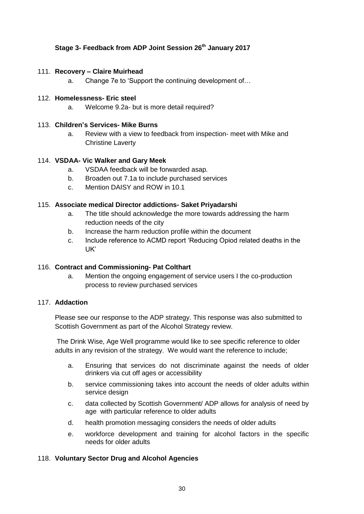### **Stage 3- Feedback from ADP Joint Session 26th January 2017**

#### 111. **Recovery – Claire Muirhead**

a. Change 7e to 'Support the continuing development of…

#### 112. **Homelessness- Eric steel**

a. Welcome 9.2a- but is more detail required?

#### 113. **Children's Services- Mike Burns**

a. Review with a view to feedback from inspection- meet with Mike and Christine Laverty

#### 114. **VSDAA- Vic Walker and Gary Meek**

- a. VSDAA feedback will be forwarded asap.
- b. Broaden out 7.1a to include purchased services
- c. Mention DAISY and ROW in 10.1

#### 115. **Associate medical Director addictions- Saket Priyadarshi**

- a. The title should acknowledge the more towards addressing the harm reduction needs of the city
- b. Increase the harm reduction profile within the document
- c. Include reference to ACMD report 'Reducing Opiod related deaths in the UK'

### 116. **Contract and Commissioning- Pat Colthart**

a. Mention the ongoing engagement of service users I the co-production process to review purchased services

#### 117. **Addaction**

Please see our response to the ADP strategy. This response was also submitted to Scottish Government as part of the Alcohol Strategy review.

The Drink Wise, Age Well programme would like to see specific reference to older adults in any revision of the strategy. We would want the reference to include;

- a. Ensuring that services do not discriminate against the needs of older drinkers via cut off ages or accessibility
- b. service commissioning takes into account the needs of older adults within service design
- c. data collected by Scottish Government/ ADP allows for analysis of need by age with particular reference to older adults
- d. health promotion messaging considers the needs of older adults
- e. workforce development and training for alcohol factors in the specific needs for older adults

### 118. **Voluntary Sector Drug and Alcohol Agencies**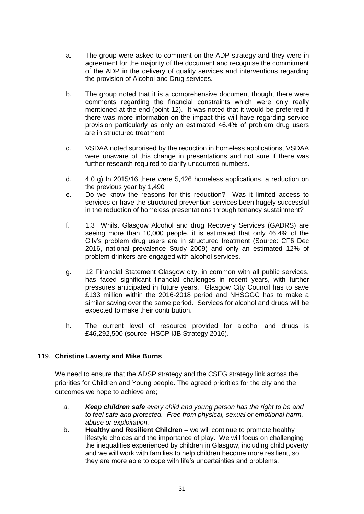- a. The group were asked to comment on the ADP strategy and they were in agreement for the majority of the document and recognise the commitment of the ADP in the delivery of quality services and interventions regarding the provision of Alcohol and Drug services.
- b. The group noted that it is a comprehensive document thought there were comments regarding the financial constraints which were only really mentioned at the end (point 12). It was noted that it would be preferred if there was more information on the impact this will have regarding service provision particularly as only an estimated 46.4% of problem drug users are in structured treatment.
- c. VSDAA noted surprised by the reduction in homeless applications, VSDAA were unaware of this change in presentations and not sure if there was further research required to clarify uncounted numbers.
- d. 4.0 g) In 2015/16 there were 5,426 homeless applications, a reduction on the previous year by 1,490
- e. Do we know the reasons for this reduction? Was it limited access to services or have the structured prevention services been hugely successful in the reduction of homeless presentations through tenancy sustainment?
- f. 1.3 Whilst Glasgow Alcohol and drug Recovery Services (GADRS) are seeing more than 10,000 people, it is estimated that only 46.4% of the City's problem drug users are in structured treatment (Source: CF6 Dec 2016, national prevalence Study 2009) and only an estimated 12% of problem drinkers are engaged with alcohol services.
- g. 12 Financial Statement Glasgow city, in common with all public services, has faced significant financial challenges in recent years, with further pressures anticipated in future years. Glasgow City Council has to save £133 million within the 2016-2018 period and NHSGGC has to make a similar saving over the same period. Services for alcohol and drugs will be expected to make their contribution.
- h. The current level of resource provided for alcohol and drugs is £46,292,500 (source: HSCP IJB Strategy 2016).

#### 119. **Christine Laverty and Mike Burns**

We need to ensure that the ADSP strategy and the CSEG strategy link across the priorities for Children and Young people. The agreed priorities for the city and the outcomes we hope to achieve are;

- *a. Keep children safe every child and young person has the right to be and to feel safe and protected. Free from physical, sexual or emotional harm, abuse or exploitation.*
- b. **Healthy and Resilient Children –** we will continue to promote healthy lifestyle choices and the importance of play. We will focus on challenging the inequalities experienced by children in Glasgow, including child poverty and we will work with families to help children become more resilient, so they are more able to cope with life's uncertainties and problems.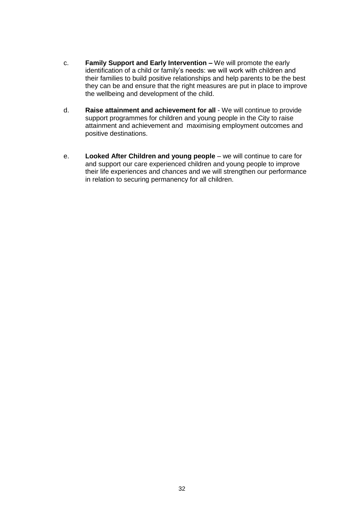- c. **Family Support and Early Intervention –** We will promote the early identification of a child or family's needs: we will work with children and their families to build positive relationships and help parents to be the best they can be and ensure that the right measures are put in place to improve the wellbeing and development of the child.
- d. **Raise attainment and achievement for all**  We will continue to provide support programmes for children and young people in the City to raise attainment and achievement and maximising employment outcomes and positive destinations.
- e. **Looked After Children and young people**  we will continue to care for and support our care experienced children and young people to improve their life experiences and chances and we will strengthen our performance in relation to securing permanency for all children.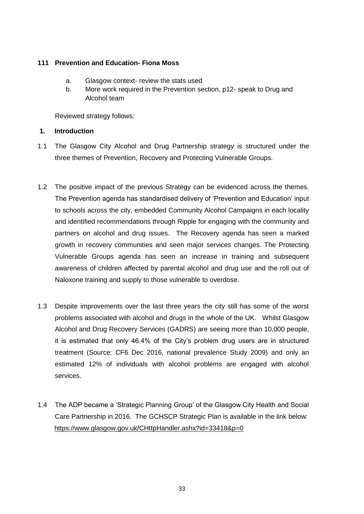#### **111 Prevention and Education- Fiona Moss**

- a. Glasgow context- review the stats used
- b. More work required in the Prevention section, p12- speak to Drug and Alcohol team

Reviewed strategy follows:

#### **1. Introduction**

- 1.1 The Glasgow City Alcohol and Drug Partnership strategy is structured under the three themes of Prevention, Recovery and Protecting Vulnerable Groups.
- 1.2 The positive impact of the previous Strategy can be evidenced across the themes. The Prevention agenda has standardised delivery of 'Prevention and Education' input to schools across the city, embedded Community Alcohol Campaigns in each locality and identified recommendations through Ripple for engaging with the community and partners on alcohol and drug issues. The Recovery agenda has seen a marked growth in recovery communities and seen major services changes. The Protecting Vulnerable Groups agenda has seen an increase in training and subsequent awareness of children affected by parental alcohol and drug use and the roll out of Naloxone training and supply to those vulnerable to overdose.
- 1.3 Despite improvements over the last three years the city still has some of the worst problems associated with alcohol and drugs in the whole of the UK. Whilst Glasgow Alcohol and Drug Recovery Services (GADRS) are seeing more than 10,000 people, it is estimated that only 46.4% of the City's problem drug users are in structured treatment (Source: CF6 Dec 2016, national prevalence Study 2009) and only an estimated 12% of individuals with alcohol problems are engaged with alcohol services.
- 1.4 The ADP became a 'Strategic Planning Group' of the Glasgow City Health and Social Care Partnership in 2016. The GCHSCP Strategic Plan is available in the link below: <https://www.glasgow.gov.uk/CHttpHandler.ashx?id=33418&p=0>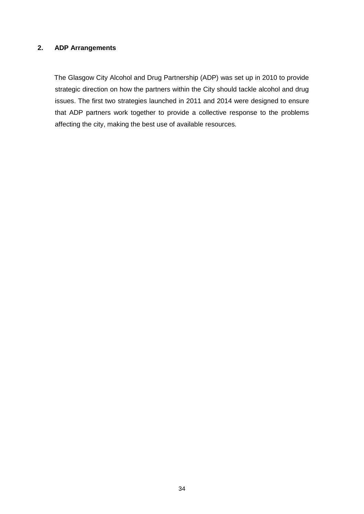### **2. ADP Arrangements**

 The Glasgow City Alcohol and Drug Partnership (ADP) was set up in 2010 to provide strategic direction on how the partners within the City should tackle alcohol and drug issues. The first two strategies launched in 2011 and 2014 were designed to ensure that ADP partners work together to provide a collective response to the problems affecting the city, making the best use of available resources.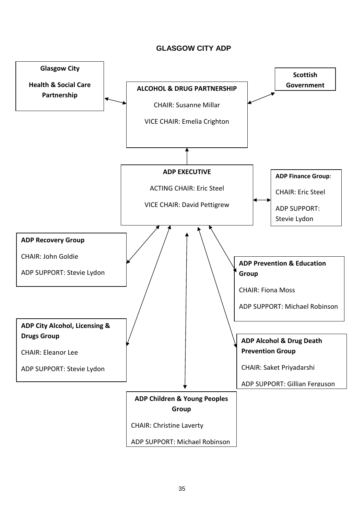### **GLASGOW CITY ADP**

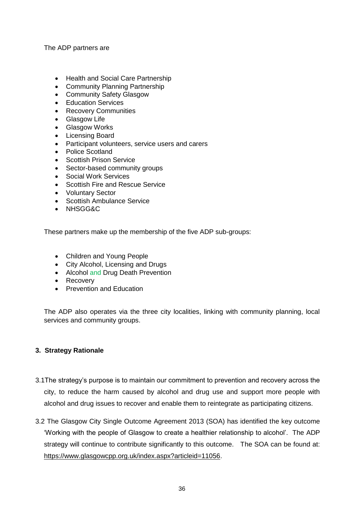The ADP partners are

- Health and Social Care Partnership
- Community Planning Partnership
- Community Safety Glasgow
- Education Services
- Recovery Communities
- Glasgow Life
- Glasgow Works
- Licensing Board
- Participant volunteers, service users and carers
- Police Scotland
- Scottish Prison Service
- Sector-based community groups
- Social Work Services
- Scottish Fire and Rescue Service
- Voluntary Sector
- Scottish Ambulance Service
- NHSGG&C

These partners make up the membership of the five ADP sub-groups:

- Children and Young People
- City Alcohol, Licensing and Drugs
- Alcohol and Drug Death Prevention
- Recovery
- Prevention and Education

The ADP also operates via the three city localities, linking with community planning, local services and community groups.

#### **3. Strategy Rationale**

- 3.1The strategy's purpose is to maintain our commitment to prevention and recovery across the city, to reduce the harm caused by alcohol and drug use and support more people with alcohol and drug issues to recover and enable them to reintegrate as participating citizens.
- 3.2 The Glasgow City Single Outcome Agreement 2013 (SOA) has identified the key outcome 'Working with the people of Glasgow to create a healthier relationship to alcohol'. The ADP strategy will continue to contribute significantly to this outcome. The SOA can be found at: [https://www.glasgowcpp.org.uk/index.aspx?articleid=11056.](https://www.glasgowcpp.org.uk/index.aspx?articleid=11056)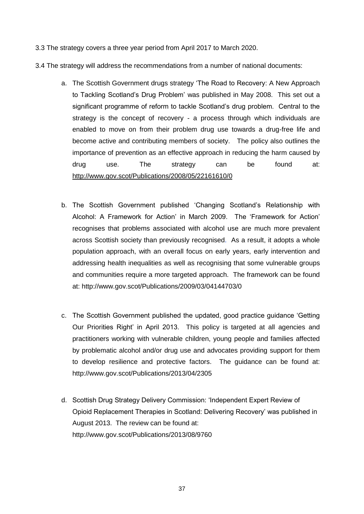3.3 The strategy covers a three year period from April 2017 to March 2020.

3.4 The strategy will address the recommendations from a number of national documents:

- a. The Scottish Government drugs strategy 'The Road to Recovery: A New Approach to Tackling Scotland's Drug Problem' was published in May 2008. This set out a significant programme of reform to tackle Scotland's drug problem. Central to the strategy is the concept of recovery - a process through which individuals are enabled to move on from their problem drug use towards a drug-free life and become active and contributing members of society. The policy also outlines the importance of prevention as an effective approach in reducing the harm caused by drug use. The strategy can be found at: <http://www.gov.scot/Publications/2008/05/22161610/0>
- b. The Scottish Government published 'Changing Scotland's Relationship with Alcohol: A Framework for Action' in March 2009. The 'Framework for Action' recognises that problems associated with alcohol use are much more prevalent across Scottish society than previously recognised. As a result, it adopts a whole population approach, with an overall focus on early years, early intervention and addressing health inequalities as well as recognising that some vulnerable groups and communities require a more targeted approach. The framework can be found at: http://www.gov.scot/Publications/2009/03/04144703/0
- c. The Scottish Government published the updated, good practice guidance 'Getting Our Priorities Right' in April 2013. This policy is targeted at all agencies and practitioners working with vulnerable children, young people and families affected by problematic alcohol and/or drug use and advocates providing support for them to develop resilience and protective factors. The guidance can be found at: http://www.gov.scot/Publications/2013/04/2305
- d. Scottish Drug Strategy Delivery Commission: 'Independent Expert Review of Opioid Replacement Therapies in Scotland: Delivering Recovery' was published in August 2013. The review can be found at: http://www.gov.scot/Publications/2013/08/9760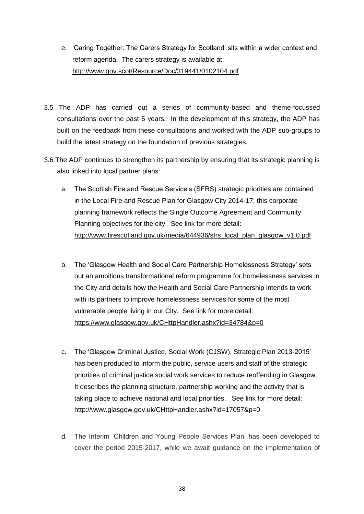- e. 'Caring Together: The Carers Strategy for Scotland' sits within a wider context and reform agenda. The carers strategy is available at: <http://www.gov.scot/Resource/Doc/319441/0102104.pdf>
- 3.5 The ADP has carried out a series of community-based and theme-focussed consultations over the past 5 years. In the development of this strategy, the ADP has built on the feedback from these consultations and worked with the ADP sub-groups to build the latest strategy on the foundation of previous strategies.
- 3.6 The ADP continues to strengthen its partnership by ensuring that its strategic planning is also linked into local partner plans:
	- a. The Scottish Fire and Rescue Service's (SFRS) strategic priorities are contained in the Local Fire and Rescue Plan for Glasgow City 2014-17; this corporate planning framework reflects the Single Outcome Agreement and Community Planning objectives for the city. See link for more detail: [http://www.firescotland.gov.uk/media/644936/sfrs\\_local\\_plan\\_glasgow\\_v1.0.pdf](http://www.firescotland.gov.uk/media/644936/sfrs_local_plan_glasgow_v1.0.pdf)
	- b. The 'Glasgow Health and Social Care Partnership Homelessness Strategy' sets out an ambitious transformational reform programme for homelessness services in the City and details how the Health and Social Care Partnership intends to work with its partners to improve homelessness services for some of the most vulnerable people living in our City. See link for more detail: <https://www.glasgow.gov.uk/CHttpHandler.ashx?id=34784&p=0>
	- c. The 'Glasgow Criminal Justice, Social Work (CJSW), Strategic Plan 2013-2015' has been produced to inform the public, service users and staff of the strategic priorities of criminal justice social work services to reduce reoffending in Glasgow. It describes the planning structure, partnership working and the activity that is taking place to achieve national and local priorities. See link for more detail: <http://www.glasgow.gov.uk/CHttpHandler.ashx?id=17057&p=0>
	- d. The Interim 'Children and Young People Services Plan' has been developed to cover the period 2015-2017, while we await guidance on the implementation of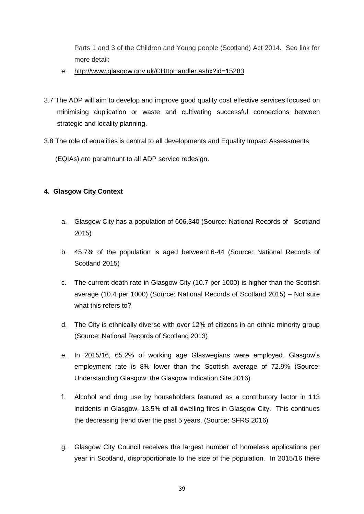Parts 1 and 3 of the Children and Young people (Scotland) Act 2014. See link for more detail:

- e. <http://www.glasgow.gov.uk/CHttpHandler.ashx?id=15283>
- 3.7 The ADP will aim to develop and improve good quality cost effective services focused on minimising duplication or waste and cultivating successful connections between strategic and locality planning.
- 3.8 The role of equalities is central to all developments and Equality Impact Assessments

(EQIAs) are paramount to all ADP service redesign.

### **4. Glasgow City Context**

- a. Glasgow City has a population of 606,340 (Source: National Records of Scotland 2015)
- b. 45.7% of the population is aged between16-44 (Source: National Records of Scotland 2015)
- c. The current death rate in Glasgow City (10.7 per 1000) is higher than the Scottish average (10.4 per 1000) (Source: National Records of Scotland 2015) – Not sure what this refers to?
- d. The City is ethnically diverse with over 12% of citizens in an ethnic minority group (Source: National Records of Scotland 2013)
- e. In 2015/16, 65.2% of working age Glaswegians were employed. Glasgow's employment rate is 8% lower than the Scottish average of 72.9% (Source: Understanding Glasgow: the Glasgow Indication Site 2016)
- f. Alcohol and drug use by householders featured as a contributory factor in 113 incidents in Glasgow, 13.5% of all dwelling fires in Glasgow City. This continues the decreasing trend over the past 5 years. (Source: SFRS 2016)
- g. Glasgow City Council receives the largest number of homeless applications per year in Scotland, disproportionate to the size of the population. In 2015/16 there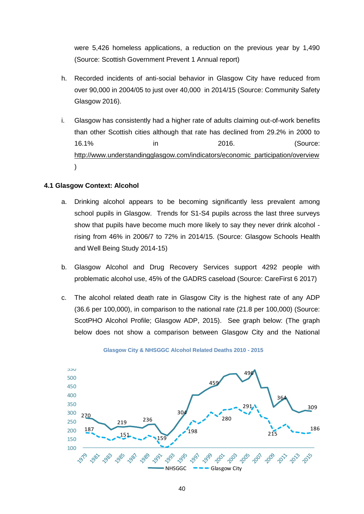were 5,426 homeless applications, a reduction on the previous year by 1,490 (Source: Scottish Government Prevent 1 Annual report)

- h. Recorded incidents of anti-social behavior in Glasgow City have reduced from over 90,000 in 2004/05 to just over 40,000 in 2014/15 (Source: Community Safety Glasgow 2016).
- i. Glasgow has consistently had a higher rate of adults claiming out-of-work benefits than other Scottish cities although that rate has declined from 29.2% in 2000 to 16.1% in 2016. (Source: [http://www.understandingglasgow.com/indicators/economic\\_participation/overview](http://www.understandingglasgow.com/indicators/economic_participation/overview) )

#### **4.1 Glasgow Context: Alcohol**

- a. Drinking alcohol appears to be becoming significantly less prevalent among school pupils in Glasgow. Trends for S1-S4 pupils across the last three surveys show that pupils have become much more likely to say they never drink alcohol rising from 46% in 2006/7 to 72% in 2014/15. (Source: Glasgow Schools Health and Well Being Study 2014-15)
- b. Glasgow Alcohol and Drug Recovery Services support 4292 people with problematic alcohol use, 45% of the GADRS caseload (Source: CareFirst 6 2017)
- c. The alcohol related death rate in Glasgow City is the highest rate of any ADP (36.6 per 100,000), in comparison to the national rate (21.8 per 100,000) (Source: ScotPHO Alcohol Profile; Glasgow ADP, 2015). See graph below: (The graph below does not show a comparison between Glasgow City and the National



**Glasgow City & NHSGGC Alcohol Related Deaths 2010 - 2015**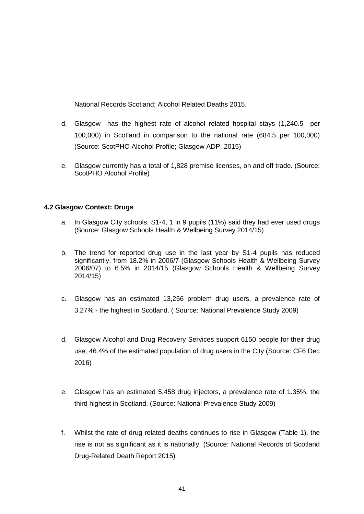National Records Scotland; Alcohol Related Deaths 2015.

- d. Glasgow has the highest rate of alcohol related hospital stays (1,240.5 per 100,000) in Scotland in comparison to the national rate (684.5 per 100,000) (Source: ScotPHO Alcohol Profile; Glasgow ADP, 2015)
- e. Glasgow currently has a total of 1,828 premise licenses, on and off trade. (Source: ScotPHO Alcohol Profile)

#### **4.2 Glasgow Context: Drugs**

- a. In Glasgow City schools, S1-4, 1 in 9 pupils (11%) said they had ever used drugs (Source: Glasgow Schools Health & Wellbeing Survey 2014/15)
- b. The trend for reported drug use in the last year by S1-4 pupils has reduced significantly, from 18.2% in 2006/7 (Glasgow Schools Health & Wellbeing Survey 2006/07) to 6.5% in 2014/15 (Glasgow Schools Health & Wellbeing Survey 2014/15)
- c. Glasgow has an estimated 13,256 problem drug users, a prevalence rate of 3.27% - the highest in Scotland. ( Source: National Prevalence Study 2009)
- d. Glasgow Alcohol and Drug Recovery Services support 6150 people for their drug use, 46.4% of the estimated population of drug users in the City (Source: CF6 Dec 2016)
- e. Glasgow has an estimated 5,458 drug injectors, a prevalence rate of 1.35%, the third highest in Scotland. (Source: National Prevalence Study 2009)
- f. Whilst the rate of drug related deaths continues to rise in Glasgow (Table 1), the rise is not as significant as it is nationally. (Source: National Records of Scotland Drug-Related Death Report 2015)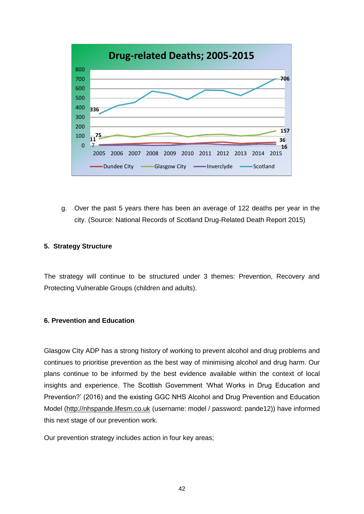

g. Over the past 5 years there has been an average of 122 deaths per year in the city. (Source: National Records of Scotland Drug-Related Death Report 2015)

#### **5. Strategy Structure**

The strategy will continue to be structured under 3 themes: Prevention, Recovery and Protecting Vulnerable Groups (children and adults).

#### **6. Prevention and Education**

Glasgow City ADP has a strong history of working to prevent alcohol and drug problems and continues to prioritise prevention as the best way of minimising alcohol and drug harm. Our plans continue to be informed by the best evidence available within the context of local insights and experience. The Scottish Government 'What Works in Drug Education and Prevention?' (2016) and the existing GGC NHS Alcohol and Drug Prevention and Education Model [\(http://nhspande.lifesm.co.uk](http://nhspande.lifesm.co.uk/) (username: model / password: pande12)) have informed this next stage of our prevention work.

Our prevention strategy includes action in four key areas;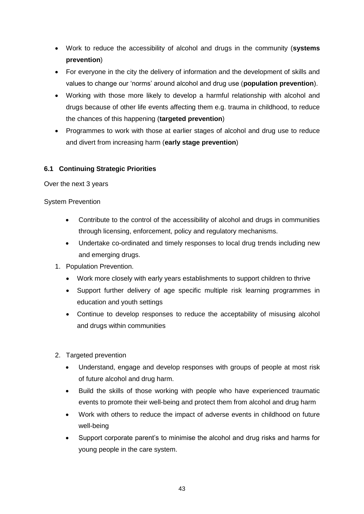- Work to reduce the accessibility of alcohol and drugs in the community (**systems prevention**)
- For everyone in the city the delivery of information and the development of skills and values to change our 'norms' around alcohol and drug use (**population prevention**).
- Working with those more likely to develop a harmful relationship with alcohol and drugs because of other life events affecting them e.g. trauma in childhood, to reduce the chances of this happening (**targeted prevention**)
- Programmes to work with those at earlier stages of alcohol and drug use to reduce and divert from increasing harm (**early stage prevention**)

### **6.1 Continuing Strategic Priorities**

Over the next 3 years

System Prevention

- Contribute to the control of the accessibility of alcohol and drugs in communities through licensing, enforcement, policy and regulatory mechanisms.
- Undertake co-ordinated and timely responses to local drug trends including new and emerging drugs.
- 1. Population Prevention.
	- Work more closely with early years establishments to support children to thrive
	- Support further delivery of age specific multiple risk learning programmes in education and youth settings
	- Continue to develop responses to reduce the acceptability of misusing alcohol and drugs within communities
- 2. Targeted prevention
	- Understand, engage and develop responses with groups of people at most risk of future alcohol and drug harm.
	- Build the skills of those working with people who have experienced traumatic events to promote their well-being and protect them from alcohol and drug harm
	- Work with others to reduce the impact of adverse events in childhood on future well-being
	- Support corporate parent's to minimise the alcohol and drug risks and harms for young people in the care system.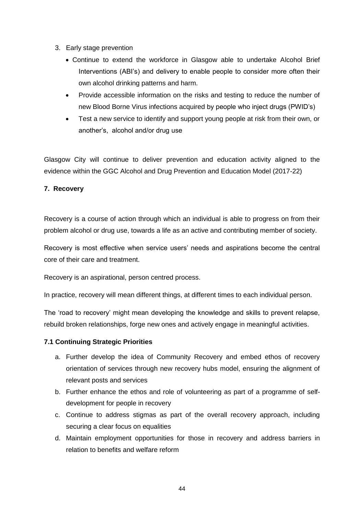- 3. Early stage prevention
	- Continue to extend the workforce in Glasgow able to undertake Alcohol Brief Interventions (ABI's) and delivery to enable people to consider more often their own alcohol drinking patterns and harm.
	- Provide accessible information on the risks and testing to reduce the number of new Blood Borne Virus infections acquired by people who inject drugs (PWID's)
	- Test a new service to identify and support young people at risk from their own, or another's, alcohol and/or drug use

Glasgow City will continue to deliver prevention and education activity aligned to the evidence within the GGC Alcohol and Drug Prevention and Education Model (2017-22)

#### **7. Recovery**

Recovery is a course of action through which an individual is able to progress on from their problem alcohol or drug use, towards a life as an active and contributing member of society.

Recovery is most effective when service users' needs and aspirations become the central core of their care and treatment.

Recovery is an aspirational, person centred process.

In practice, recovery will mean different things, at different times to each individual person.

The 'road to recovery' might mean developing the knowledge and skills to prevent relapse, rebuild broken relationships, forge new ones and actively engage in meaningful activities.

#### **7.1 Continuing Strategic Priorities**

- a. Further develop the idea of Community Recovery and embed ethos of recovery orientation of services through new recovery hubs model, ensuring the alignment of relevant posts and services
- b. Further enhance the ethos and role of volunteering as part of a programme of selfdevelopment for people in recovery
- c. Continue to address stigmas as part of the overall recovery approach, including securing a clear focus on equalities
- d. Maintain employment opportunities for those in recovery and address barriers in relation to benefits and welfare reform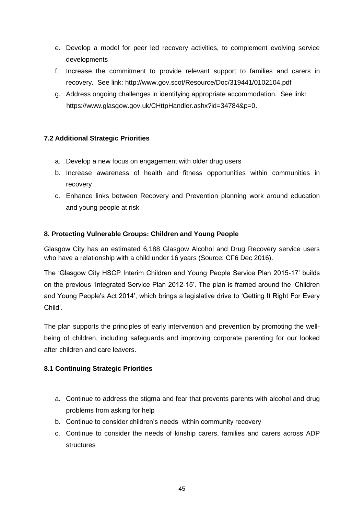- e. Develop a model for peer led recovery activities, to complement evolving service developments
- f. Increase the commitment to provide relevant support to families and carers in recovery. See link:<http://www.gov.scot/Resource/Doc/319441/0102104.pdf>
- g. Address ongoing challenges in identifying appropriate accommodation. See link: [https://www.glasgow.gov.uk/CHttpHandler.ashx?id=34784&p=0.](https://www.glasgow.gov.uk/CHttpHandler.ashx?id=34784&p=0)

# **7.2 Additional Strategic Priorities**

- a. Develop a new focus on engagement with older drug users
- b. Increase awareness of health and fitness opportunities within communities in recovery
- c. Enhance links between Recovery and Prevention planning work around education and young people at risk

### **8. Protecting Vulnerable Groups: Children and Young People**

Glasgow City has an estimated 6,188 Glasgow Alcohol and Drug Recovery service users who have a relationship with a child under 16 years (Source: CF6 Dec 2016).

The 'Glasgow City HSCP Interim Children and Young People Service Plan 2015-17' builds on the previous 'Integrated Service Plan 2012-15'. The plan is framed around the 'Children and Young People's Act 2014', which brings a legislative drive to 'Getting It Right For Every Child'.

The plan supports the principles of early intervention and prevention by promoting the wellbeing of children, including safeguards and improving corporate parenting for our looked after children and care leavers.

### **8.1 Continuing Strategic Priorities**

- a. Continue to address the stigma and fear that prevents parents with alcohol and drug problems from asking for help
- b. Continue to consider children's needs within community recovery
- c. Continue to consider the needs of kinship carers, families and carers across ADP structures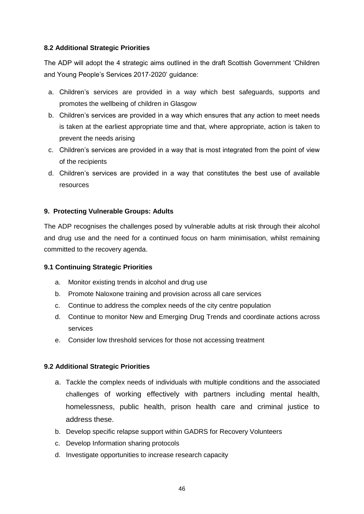#### **8.2 Additional Strategic Priorities**

The ADP will adopt the 4 strategic aims outlined in the draft Scottish Government 'Children and Young People's Services 2017-2020' guidance:

- a. Children's services are provided in a way which best safeguards, supports and promotes the wellbeing of children in Glasgow
- b. Children's services are provided in a way which ensures that any action to meet needs is taken at the earliest appropriate time and that, where appropriate, action is taken to prevent the needs arising
- c. Children's services are provided in a way that is most integrated from the point of view of the recipients
- d. Children's services are provided in a way that constitutes the best use of available resources

### **9. Protecting Vulnerable Groups: Adults**

The ADP recognises the challenges posed by vulnerable adults at risk through their alcohol and drug use and the need for a continued focus on harm minimisation, whilst remaining committed to the recovery agenda.

### **9.1 Continuing Strategic Priorities**

- a. Monitor existing trends in alcohol and drug use
- b. Promote Naloxone training and provision across all care services
- c. Continue to address the complex needs of the city centre population
- d. Continue to monitor New and Emerging Drug Trends and coordinate actions across services
- e. Consider low threshold services for those not accessing treatment

#### **9.2 Additional Strategic Priorities**

- a. Tackle the complex needs of individuals with multiple conditions and the associated challenges of working effectively with partners including mental health, homelessness, public health, prison health care and criminal justice to address these.
- b. Develop specific relapse support within GADRS for Recovery Volunteers
- c. Develop Information sharing protocols
- d. Investigate opportunities to increase research capacity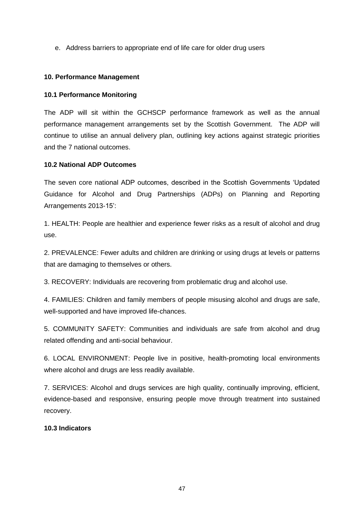e. Address barriers to appropriate end of life care for older drug users

#### **10. Performance Management**

#### **10.1 Performance Monitoring**

The ADP will sit within the GCHSCP performance framework as well as the annual performance management arrangements set by the Scottish Government. The ADP will continue to utilise an annual delivery plan, outlining key actions against strategic priorities and the 7 national outcomes.

#### **10.2 National ADP Outcomes**

The seven core national ADP outcomes, described in the Scottish Governments 'Updated Guidance for Alcohol and Drug Partnerships (ADPs) on Planning and Reporting Arrangements 2013-15':

1. HEALTH: People are healthier and experience fewer risks as a result of alcohol and drug use.

2. PREVALENCE: Fewer adults and children are drinking or using drugs at levels or patterns that are damaging to themselves or others.

3. RECOVERY: Individuals are recovering from problematic drug and alcohol use.

4. FAMILIES: Children and family members of people misusing alcohol and drugs are safe, well-supported and have improved life-chances.

5. COMMUNITY SAFETY: Communities and individuals are safe from alcohol and drug related offending and anti-social behaviour.

6. LOCAL ENVIRONMENT: People live in positive, health-promoting local environments where alcohol and drugs are less readily available.

7. SERVICES: Alcohol and drugs services are high quality, continually improving, efficient, evidence-based and responsive, ensuring people move through treatment into sustained recovery.

#### **10.3 Indicators**